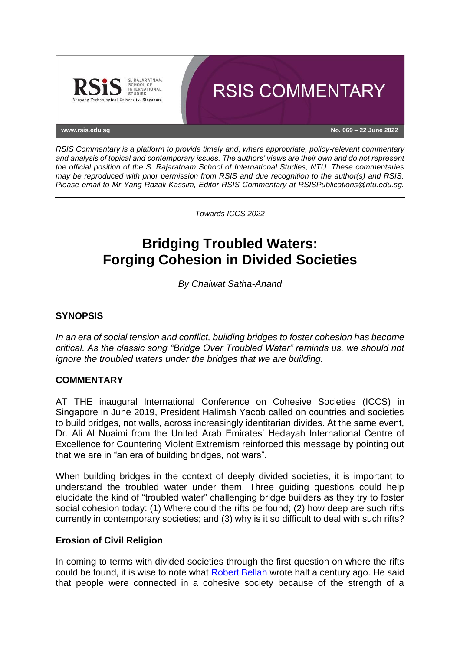

*RSIS Commentary is a platform to provide timely and, where appropriate, policy-relevant commentary and analysis of topical and contemporary issues. The authors' views are their own and do not represent the official position of the S. Rajaratnam School of International Studies, NTU. These commentaries may be reproduced with prior permission from RSIS and due recognition to the author(s) and RSIS. Please email to Mr Yang Razali Kassim, Editor RSIS Commentary at RSISPublications@ntu.edu.sg.*

*Towards ICCS 2022*

# **Bridging Troubled Waters: Forging Cohesion in Divided Societies**

*By Chaiwat Satha-Anand*

## **SYNOPSIS**

*In an era of social tension and conflict, building bridges to foster cohesion has become critical. As the classic song "Bridge Over Troubled Water" reminds us, we should not ignore the troubled waters under the bridges that we are building.*

### **COMMENTARY**

AT THE inaugural International Conference on Cohesive Societies (ICCS) in Singapore in June 2019, President Halimah Yacob called on countries and societies to build bridges, not walls, across increasingly identitarian divides. At the same event, Dr. Ali Al Nuaimi from the United Arab Emirates' Hedayah International Centre of Excellence for Countering Violent Extremism reinforced this message by pointing out that we are in "an era of building bridges, not wars".

When building bridges in the context of deeply divided societies, it is important to understand the troubled water under them. Three guiding questions could help elucidate the kind of "troubled water" challenging bridge builders as they try to foster social cohesion today: (1) Where could the rifts be found; (2) how deep are such rifts currently in contemporary societies; and (3) why is it so difficult to deal with such rifts?

### **Erosion of Civil Religion**

In coming to terms with divided societies through the first question on where the rifts could be found, it is wise to note what [Robert Bellah](https://www.cambridge.org/core/journals/church-history/article/abs/american-civil-religion-edited-by-russell-e-richey-and-donald-g-jones-new-york-harper-and-row-1974-viii-289-pp-395/1DAA61ADCCBB0ADC123D65CD196D5378) wrote half a century ago. He said that people were connected in a cohesive society because of the strength of a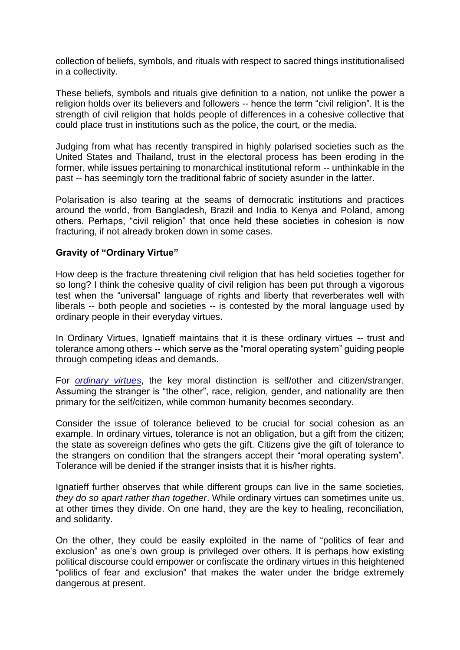collection of beliefs, symbols, and rituals with respect to sacred things institutionalised in a collectivity.

These beliefs, symbols and rituals give definition to a nation, not unlike the power a religion holds over its believers and followers -- hence the term "civil religion". It is the strength of civil religion that holds people of differences in a cohesive collective that could place trust in institutions such as the police, the court, or the media.

Judging from what has recently transpired in highly polarised societies such as the United States and Thailand, trust in the electoral process has been eroding in the former, while issues pertaining to monarchical institutional reform -- unthinkable in the past -- has seemingly torn the traditional fabric of society asunder in the latter.

Polarisation is also tearing at the seams of democratic institutions and practices around the world, from Bangladesh, Brazil and India to Kenya and Poland, among others. Perhaps, "civil religion" that once held these societies in cohesion is now fracturing, if not already broken down in some cases.

### **Gravity of "Ordinary Virtue"**

How deep is the fracture threatening civil religion that has held societies together for so long? I think the cohesive quality of civil religion has been put through a vigorous test when the "universal" language of rights and liberty that reverberates well with liberals -- both people and societies -- is contested by the moral language used by ordinary people in their everyday virtues.

In Ordinary Virtues, Ignatieff maintains that it is these ordinary virtues -- trust and tolerance among others -- which serve as the "moral operating system" guiding people through competing ideas and demands.

For *[ordinary virtues](https://www.hup.harvard.edu/catalog.php?isbn=9780674976276)*, the key moral distinction is self/other and citizen/stranger. Assuming the stranger is "the other", race, religion, gender, and nationality are then primary for the self/citizen, while common humanity becomes secondary.

Consider the issue of tolerance believed to be crucial for social cohesion as an example. In ordinary virtues, tolerance is not an obligation, but a gift from the citizen; the state as sovereign defines who gets the gift. Citizens give the gift of tolerance to the strangers on condition that the strangers accept their "moral operating system". Tolerance will be denied if the stranger insists that it is his/her rights.

Ignatieff further observes that while different groups can live in the same societies, *they do so apart rather than together*. While ordinary virtues can sometimes unite us, at other times they divide. On one hand, they are the key to healing, reconciliation, and solidarity.

On the other, they could be easily exploited in the name of "politics of fear and exclusion" as one's own group is privileged over others. It is perhaps how existing political discourse could empower or confiscate the ordinary virtues in this heightened "politics of fear and exclusion" that makes the water under the bridge extremely dangerous at present.